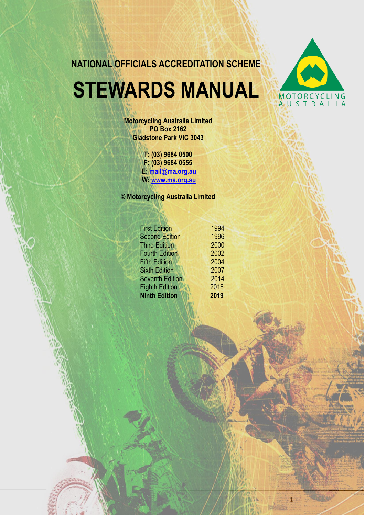**NATIONAL OFFICIALS ACCREDITATION SCHEME**

# **STEWARDS MANUAL**



1

**Motorcycling Australia Limited PO Box 2162 Gladstone Park VIC 3043**

> **T: (03) 9684 0500 F: (03) 9684 0555 E: [mail@ma.org.au](mailto:mail@ma.org.au) W: [www.ma.org.au](http://www.ma.org.au/)**

**© Motorcycling Australia Limited** 

| <b>First Edition</b>   | 1994 |
|------------------------|------|
| <b>Second Edition</b>  | 1996 |
| <b>Third Edition</b>   | 2000 |
| <b>Fourth Edition</b>  | 2002 |
| <b>Fifth Edition</b>   | 2004 |
| <b>Sixth Edition</b>   | 2007 |
| <b>Seventh Edition</b> | 2014 |
| <b>Eighth Edition</b>  | 2018 |
| <b>Ninth Edition</b>   | 2019 |
|                        |      |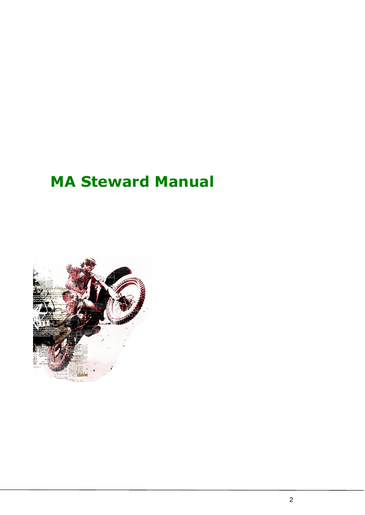# **MA Steward Manual**

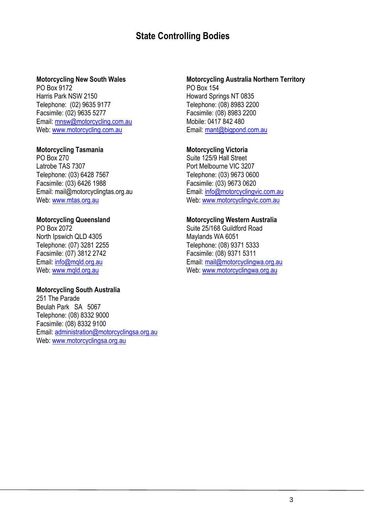# **State Controlling Bodies**

#### **Motorcycling New South Wales**

PO Box 9172 Harris Park NSW 2150 Telephone: (02) 9635 9177 Facsimile: (02) 9635 5277 Email: [mnsw@motorcycling.com.au](mailto:mnsw@motorcycling.com.au) Web: [www.motorcycling.com.au](http://www.motorcycling.com.au/)

#### **Motorcycling Tasmania**

PO Box 270 Latrobe TAS 7307 Telephone: (03) 6428 7567 Facsimile: (03) 6426 1988 Email: mail@motorcyclingtas.org.au Web: [www.mtas.org.au](http://www.mtas.org.au/)

#### **Motorcycling Queensland**

PO Box 2072 North Ipswich QLD 4305 Telephone: (07) 3281 2255 Facsimile: (07) 3812 2742 Email: [info@mqld.org.au](mailto:info@mqld.org.au) Web: [www.mqld.org.au](http://www.mqld.org.au/)

#### **Motorcycling South Australia**

251 The Parade Beulah Park SA 5067 Telephone: (08) 8332 9000 Facsimile: (08) 8332 9100 Email: [administration@motorcyclingsa.org.au](mailto:admin@masa.org.au) Web: [www.motorcyclingsa.org.au](http://www.masa.org.au/)

#### **Motorcycling Australia Northern Territory** PO Box 154 Howard Springs NT 0835 Telephone: (08) 8983 2200 Facsimile: (08) 8983 2200 Mobile: 0417 842 480 Email: [mant@bigpond.com.au](mailto:mant@bigpond.com.au)

#### **Motorcycling Victoria**

Suite 125/9 Hall Street Port Melbourne VIC 3207 Telephone: (03) 9673 0600 Facsimile: (03) 9673 0620 Email: [info@motorcyclingvic.com.au](mailto:info@motorcyclingvic.com.au) Web: [www.motorcyclingvic.com.au](http://www.motorcyclingvic.com.au/)

#### **Motorcycling Western Australia**

Suite 25/168 Guildford Road Maylands WA 6051 Telephone: (08) 9371 5333 Facsimile: (08) 9371 5311 Email: [mail@motorcyclingwa.org.au](mailto:mail@motorcyclingwa.org.au) Web: [www.motorcyclingwa.org.au](http://www.motorcyclingwa.org.au/)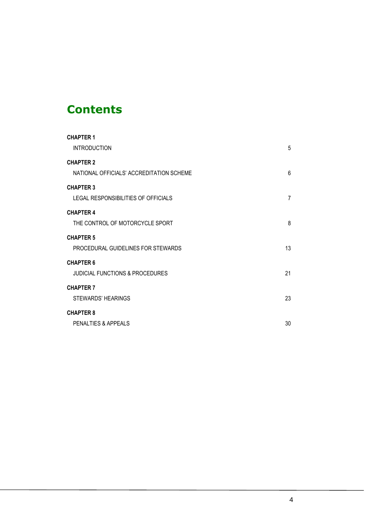# **Contents**

| <b>CHAPTER 1</b>                           |    |
|--------------------------------------------|----|
| <b>INTRODUCTION</b>                        | 5  |
| <b>CHAPTER 2</b>                           |    |
| NATIONAL OFFICIALS' ACCREDITATION SCHEME   | 6  |
| <b>CHAPTER 3</b>                           |    |
| LEGAL RESPONSIBILITIES OF OFFICIALS        | 7  |
| <b>CHAPTER 4</b>                           |    |
| THE CONTROL OF MOTORCYCLE SPORT            | 8  |
| <b>CHAPTER 5</b>                           |    |
| PROCEDURAL GUIDELINES FOR STEWARDS         | 13 |
| <b>CHAPTER 6</b>                           |    |
| <b>JUDICIAL FUNCTIONS &amp; PROCEDURES</b> | 21 |
| <b>CHAPTER 7</b>                           |    |
| STEWARDS' HEARINGS                         | 23 |
| <b>CHAPTER 8</b>                           |    |
| PENALTIES & APPEALS                        | 30 |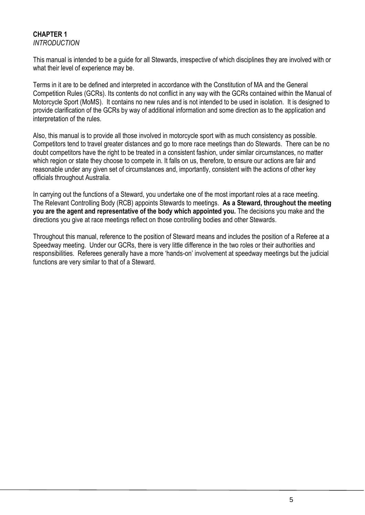#### **CHAPTER 1** *INTRODUCTION*

This manual is intended to be a guide for all Stewards, irrespective of which disciplines they are involved with or what their level of experience may be.

Terms in it are to be defined and interpreted in accordance with the Constitution of MA and the General Competition Rules (GCRs). Its contents do not conflict in any way with the GCRs contained within the Manual of Motorcycle Sport (MoMS). It contains no new rules and is not intended to be used in isolation. It is designed to provide clarification of the GCRs by way of additional information and some direction as to the application and interpretation of the rules.

Also, this manual is to provide all those involved in motorcycle sport with as much consistency as possible. Competitors tend to travel greater distances and go to more race meetings than do Stewards. There can be no doubt competitors have the right to be treated in a consistent fashion, under similar circumstances, no matter which region or state they choose to compete in. It falls on us, therefore, to ensure our actions are fair and reasonable under any given set of circumstances and, importantly, consistent with the actions of other key officials throughout Australia.

In carrying out the functions of a Steward, you undertake one of the most important roles at a race meeting. The Relevant Controlling Body (RCB) appoints Stewards to meetings. **As a Steward, throughout the meeting you are the agent and representative of the body which appointed you.** The decisions you make and the directions you give at race meetings reflect on those controlling bodies and other Stewards.

Throughout this manual, reference to the position of Steward means and includes the position of a Referee at a Speedway meeting. Under our GCRs, there is very little difference in the two roles or their authorities and responsibilities. Referees generally have a more 'hands-on' involvement at speedway meetings but the judicial functions are very similar to that of a Steward.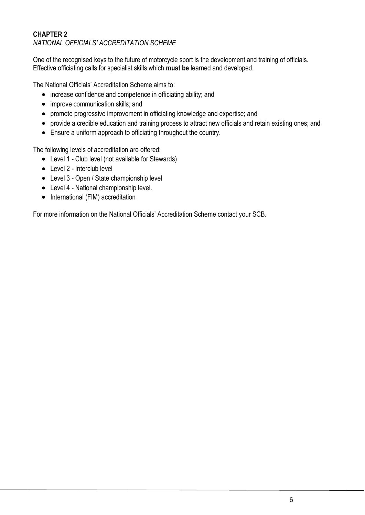# **CHAPTER 2** *NATIONAL OFFICIALS' ACCREDITATION SCHEME*

One of the recognised keys to the future of motorcycle sport is the development and training of officials. Effective officiating calls for specialist skills which **must be** learned and developed.

The National Officials' Accreditation Scheme aims to:

- increase confidence and competence in officiating ability; and
- improve communication skills: and
- promote progressive improvement in officiating knowledge and expertise; and
- provide a credible education and training process to attract new officials and retain existing ones; and
- Ensure a uniform approach to officiating throughout the country.

The following levels of accreditation are offered:

- Level 1 Club level (not available for Stewards)
- Level 2 Interclub level
- Level 3 Open / State championship level
- Level 4 National championship level.
- International (FIM) accreditation

For more information on the National Officials' Accreditation Scheme contact your SCB.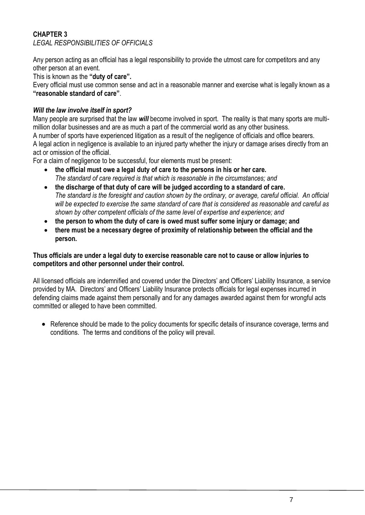# **CHAPTER 3** *LEGAL RESPONSIBILITIES OF OFFICIALS*

Any person acting as an official has a legal responsibility to provide the utmost care for competitors and any other person at an event.

This is known as the **"duty of care".**

Every official must use common sense and act in a reasonable manner and exercise what is legally known as a **"reasonable standard of care"**.

# *Will the law involve itself in sport?*

Many people are surprised that the law *will* become involved in sport. The reality is that many sports are multimillion dollar businesses and are as much a part of the commercial world as any other business. A number of sports have experienced litigation as a result of the negligence of officials and office bearers. A legal action in negligence is available to an injured party whether the injury or damage arises directly from an act or omission of the official.

For a claim of negligence to be successful, four elements must be present:

- **the official must owe a legal duty of care to the persons in his or her care.**  *The standard of care required is that which is reasonable in the circumstances; and*
- **the discharge of that duty of care will be judged according to a standard of care.** *The standard is the foresight and caution shown by the ordinary, or average, careful official. An official will be expected to exercise the same standard of care that is considered as reasonable and careful as shown by other competent officials of the same level of expertise and experience; and*
- **the person to whom the duty of care is owed must suffer some injury or damage; and**
- **there must be a necessary degree of proximity of relationship between the official and the person.**

#### **Thus officials are under a legal duty to exercise reasonable care not to cause or allow injuries to competitors and other personnel under their control.**

All licensed officials are indemnified and covered under the Directors' and Officers' Liability Insurance, a service provided by MA. Directors' and Officers' Liability Insurance protects officials for legal expenses incurred in defending claims made against them personally and for any damages awarded against them for wrongful acts committed or alleged to have been committed.

• Reference should be made to the policy documents for specific details of insurance coverage, terms and conditions. The terms and conditions of the policy will prevail.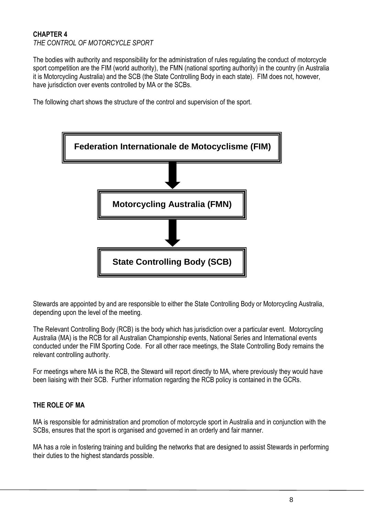#### **CHAPTER 4** *THE CONTROL OF MOTORCYCLE SPORT*

The bodies with authority and responsibility for the administration of rules regulating the conduct of motorcycle sport competition are the FIM (world authority), the FMN (national sporting authority) in the country (in Australia it is Motorcycling Australia) and the SCB (the State Controlling Body in each state). FIM does not, however, have jurisdiction over events controlled by MA or the SCBs.

The following chart shows the structure of the control and supervision of the sport.



Stewards are appointed by and are responsible to either the State Controlling Body or Motorcycling Australia, depending upon the level of the meeting.

The Relevant Controlling Body (RCB) is the body which has jurisdiction over a particular event. Motorcycling Australia (MA) is the RCB for all Australian Championship events, National Series and International events conducted under the FIM Sporting Code. For all other race meetings, the State Controlling Body remains the relevant controlling authority.

For meetings where MA is the RCB, the Steward will report directly to MA, where previously they would have been liaising with their SCB. Further information regarding the RCB policy is contained in the GCRs.

# **THE ROLE OF MA**

MA is responsible for administration and promotion of motorcycle sport in Australia and in conjunction with the SCBs, ensures that the sport is organised and governed in an orderly and fair manner.

MA has a role in fostering training and building the networks that are designed to assist Stewards in performing their duties to the highest standards possible.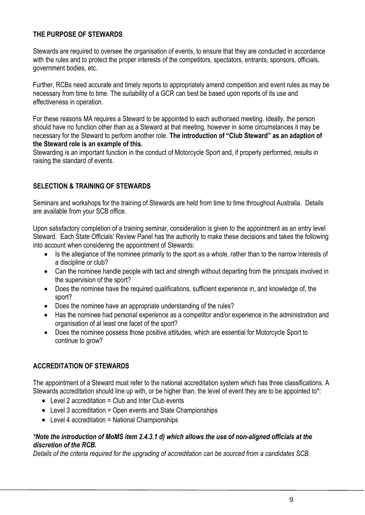# **THE PURPOSE OF STEWARDS**

Stewards are required to oversee the organisation of events, to ensure that they are conducted in accordance with the rules and to protect the proper interests of the competitors, spectators, entrants, sponsors, officials, government bodies, etc.

Further, RCBs need accurate and timely reports to appropriately amend competition and event rules as may be necessary from time to time. The suitability of a GCR can best be based upon reports of its use and effectiveness in operation.

For these reasons MA requires a Steward to be appointed to each authorised meeting. Ideally, the person should have no function other than as a Steward at that meeting, however in some circumstances it may be necessary for the Steward to perform another role. **The introduction of "Club Steward" as an adaption of the Steward role is an example of this.**

Stewarding is an important function in the conduct of Motorcycle Sport and, if properly performed, results in raising the standard of events.

# **SELECTION & TRAINING OF STEWARDS**

Seminars and workshops for the training of Stewards are held from time to time throughout Australia. Details are available from your SCB office.

Upon satisfactory completion of a training seminar, consideration is given to the appointment as an entry level Steward. Each State Officials' Review Panel has the authority to make these decisions and takes the following into account when considering the appointment of Stewards:

- Is the allegiance of the nominee primarily to the sport as a whole, rather than to the narrow interests of a discipline or club?
- Can the nominee handle people with tact and strength without departing from the principals involved in the supervision of the sport?
- Does the nominee have the required qualifications, sufficient experience in, and knowledge of, the sport?
- Does the nominee have an appropriate understanding of the rules?
- Has the nominee had personal experience as a competitor and/or experience in the administration and organisation of at least one facet of the sport?
- Does the nominee possess those positive attitudes, which are essential for Motorcycle Sport to continue to grow?

# **ACCREDITATION OF STEWARDS**

The appointment of a Steward must refer to the national accreditation system which has three classifications. A Stewards accreditation should line up with, or be higher than, the level of event they are to be appointed to\*:

- $\bullet$  Level 2 accreditation = Club and Inter Club events
- Level 3 accreditation = Open events and State Championships
- Level 4 accreditation = National Championships

#### *\*Note the introduction of MoMS item 2.4.3.1 d) which allows the use of non-aligned officials at the discretion of the RCB.*

*Details of the criteria required for the upgrading of accreditation can be sourced from a candidates SCB.*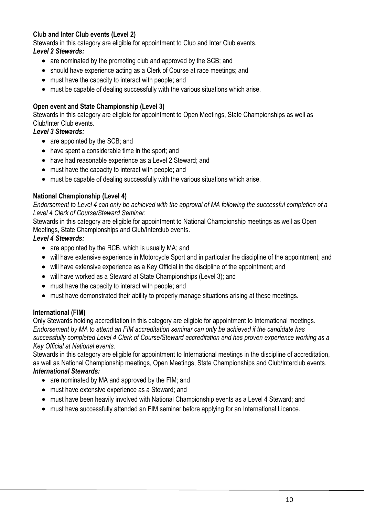# **Club and Inter Club events (Level 2)**

Stewards in this category are eligible for appointment to Club and Inter Club events.

# *Level 2 Stewards:*

- are nominated by the promoting club and approved by the SCB; and
- should have experience acting as a Clerk of Course at race meetings; and
- must have the capacity to interact with people; and
- must be capable of dealing successfully with the various situations which arise.

# **Open event and State Championship (Level 3)**

Stewards in this category are eligible for appointment to Open Meetings, State Championships as well as Club/Inter Club events.

# *Level 3 Stewards:*

- are appointed by the SCB; and
- have spent a considerable time in the sport; and
- have had reasonable experience as a Level 2 Steward; and
- must have the capacity to interact with people; and
- must be capable of dealing successfully with the various situations which arise.

# **National Championship (Level 4)**

*Endorsement to Level 4 can only be achieved with the approval of MA following the successful completion of a Level 4 Clerk of Course/Steward Seminar.*

Stewards in this category are eligible for appointment to National Championship meetings as well as Open Meetings, State Championships and Club/Interclub events.

# *Level 4 Stewards:*

- are appointed by the RCB, which is usually MA; and
- will have extensive experience in Motorcycle Sport and in particular the discipline of the appointment; and
- will have extensive experience as a Key Official in the discipline of the appointment; and
- will have worked as a Steward at State Championships (Level 3); and
- must have the capacity to interact with people; and
- must have demonstrated their ability to properly manage situations arising at these meetings.

#### **International (FIM)**

Only Stewards holding accreditation in this category are eligible for appointment to International meetings. *Endorsement by MA to attend an FIM accreditation seminar can only be achieved if the candidate has successfully completed Level 4 Clerk of Course/Steward accreditation and has proven experience working as a Key Official at National events.*

Stewards in this category are eligible for appointment to International meetings in the discipline of accreditation, as well as National Championship meetings, Open Meetings, State Championships and Club/Interclub events. *International Stewards:*

- are nominated by MA and approved by the FIM; and
- must have extensive experience as a Steward; and
- must have been heavily involved with National Championship events as a Level 4 Steward; and
- must have successfully attended an FIM seminar before applying for an International Licence.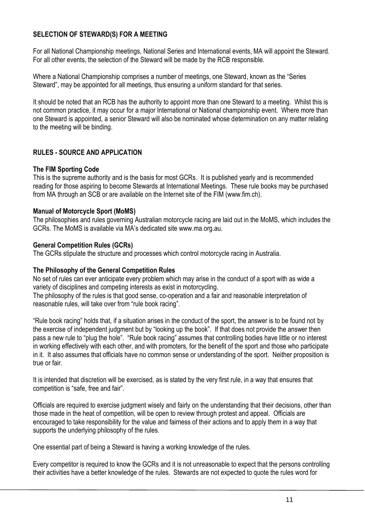# **SELECTION OF STEWARD(S) FOR A MEETING**

For all National Championship meetings, National Series and International events, MA will appoint the Steward. For all other events, the selection of the Steward will be made by the RCB responsible.

Where a National Championship comprises a number of meetings, one Steward, known as the "Series Steward", may be appointed for all meetings, thus ensuring a uniform standard for that series.

It should be noted that an RCB has the authority to appoint more than one Steward to a meeting. Whilst this is not common practice, it may occur for a major International or National championship event. Where more than one Steward is appointed, a senior Steward will also be nominated whose determination on any matter relating to the meeting will be binding.

# **RULES - SOURCE AND APPLICATION**

#### **The FIM Sporting Code**

This is the supreme authority and is the basis for most GCRs. It is published yearly and is recommended reading for those aspiring to become Stewards at International Meetings. These rule books may be purchased from MA through an SCB or are available on the Internet site of the FIM (www.fim.ch).

#### **Manual of Motorcycle Sport (MoMS)**

The philosophies and rules governing Australian motorcycle racing are laid out in the MoMS, which includes the GCRs. The MoMS is available via MA's dedicated site www.ma.org.au.

#### **General Competition Rules (GCRs)**

The GCRs stipulate the structure and processes which control motorcycle racing in Australia.

#### **The Philosophy of the General Competition Rules**

No set of rules can ever anticipate every problem which may arise in the conduct of a sport with as wide a variety of disciplines and competing interests as exist in motorcycling.

The philosophy of the rules is that good sense, co-operation and a fair and reasonable interpretation of reasonable rules, will take over from "rule book racing".

"Rule book racing" holds that, if a situation arises in the conduct of the sport, the answer is to be found not by the exercise of independent judgment but by "looking up the book". If that does not provide the answer then pass a new rule to "plug the hole". "Rule book racing" assumes that controlling bodies have little or no interest in working effectively with each other, and with promoters, for the benefit of the sport and those who participate in it. It also assumes that officials have no common sense or understanding of the sport. Neither proposition is true or fair.

It is intended that discretion will be exercised, as is stated by the very first rule, in a way that ensures that competition is "safe, free and fair".

Officials are required to exercise judgment wisely and fairly on the understanding that their decisions, other than those made in the heat of competition, will be open to review through protest and appeal. Officials are encouraged to take responsibility for the value and fairness of their actions and to apply them in a way that supports the underlying philosophy of the rules.

One essential part of being a Steward is having a working knowledge of the rules.

Every competitor is required to know the GCRs and it is not unreasonable to expect that the persons controlling their activities have a better knowledge of the rules. Stewards are not expected to quote the rules word for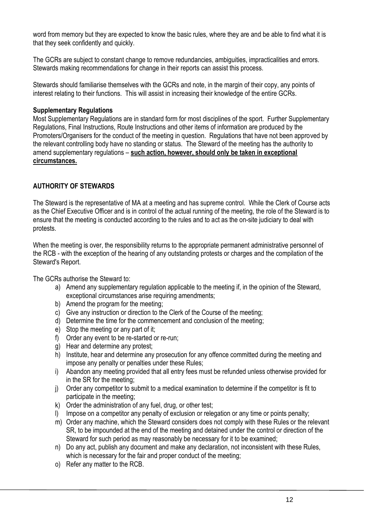word from memory but they are expected to know the basic rules, where they are and be able to find what it is that they seek confidently and quickly.

The GCRs are subject to constant change to remove redundancies, ambiguities, impracticalities and errors. Stewards making recommendations for change in their reports can assist this process.

Stewards should familiarise themselves with the GCRs and note, in the margin of their copy, any points of interest relating to their functions. This will assist in increasing their knowledge of the entire GCRs.

#### **Supplementary Regulations**

Most Supplementary Regulations are in standard form for most disciplines of the sport. Further Supplementary Regulations, Final Instructions, Route Instructions and other items of information are produced by the Promoters/Organisers for the conduct of the meeting in question. Regulations that have not been approved by the relevant controlling body have no standing or status. The Steward of the meeting has the authority to amend supplementary regulations – **such action, however, should only be taken in exceptional circumstances.**

# **AUTHORITY OF STEWARDS**

The Steward is the representative of MA at a meeting and has supreme control. While the Clerk of Course acts as the Chief Executive Officer and is in control of the actual running of the meeting, the role of the Steward is to ensure that the meeting is conducted according to the rules and to act as the on-site judiciary to deal with protests.

When the meeting is over, the responsibility returns to the appropriate permanent administrative personnel of the RCB - with the exception of the hearing of any outstanding protests or charges and the compilation of the Steward's Report.

The GCRs authorise the Steward to:

- a) Amend any supplementary regulation applicable to the meeting if, in the opinion of the Steward, exceptional circumstances arise requiring amendments;
- b) Amend the program for the meeting;
- c) Give any instruction or direction to the Clerk of the Course of the meeting;
- d) Determine the time for the commencement and conclusion of the meeting;
- e) Stop the meeting or any part of it;
- f) Order any event to be re-started or re-run;
- g) Hear and determine any protest;
- h) Institute, hear and determine any prosecution for any offence committed during the meeting and impose any penalty or penalties under these Rules;
- i) Abandon any meeting provided that all entry fees must be refunded unless otherwise provided for in the SR for the meeting;
- j) Order any competitor to submit to a medical examination to determine if the competitor is fit to participate in the meeting;
- k) Order the administration of any fuel, drug, or other test;
- l) Impose on a competitor any penalty of exclusion or relegation or any time or points penalty;
- m) Order any machine, which the Steward considers does not comply with these Rules or the relevant SR, to be impounded at the end of the meeting and detained under the control or direction of the Steward for such period as may reasonably be necessary for it to be examined;
- n) Do any act, publish any document and make any declaration, not inconsistent with these Rules, which is necessary for the fair and proper conduct of the meeting;
- o) Refer any matter to the RCB.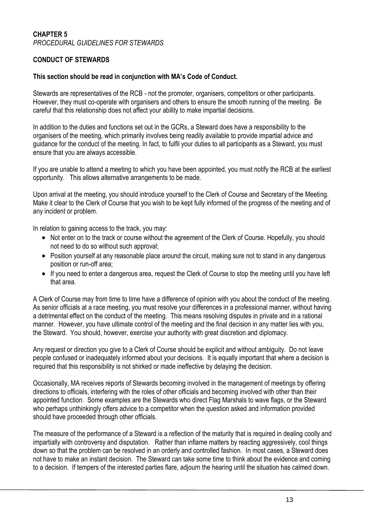#### **CHAPTER 5** *PROCEDURAL GUIDELINES FOR STEWARDS*

# **CONDUCT OF STEWARDS**

#### **This section should be read in conjunction with MA's Code of Conduct.**

Stewards are representatives of the RCB - not the promoter, organisers, competitors or other participants. However, they must co-operate with organisers and others to ensure the smooth running of the meeting. Be careful that this relationship does not affect your ability to make impartial decisions.

In addition to the duties and functions set out in the GCRs, a Steward does have a responsibility to the organisers of the meeting, which primarily involves being readily available to provide impartial advice and guidance for the conduct of the meeting. In fact, to fulfil your duties to all participants as a Steward, you must ensure that you are always accessible.

If you are unable to attend a meeting to which you have been appointed, you must notify the RCB at the earliest opportunity. This allows alternative arrangements to be made.

Upon arrival at the meeting, you should introduce yourself to the Clerk of Course and Secretary of the Meeting. Make it clear to the Clerk of Course that you wish to be kept fully informed of the progress of the meeting and of any incident or problem.

In relation to gaining access to the track, you may:

- Not enter on to the track or course without the agreement of the Clerk of Course. Hopefully, you should not need to do so without such approval;
- Position yourself at any reasonable place around the circuit, making sure not to stand in any dangerous position or run-off area;
- If you need to enter a dangerous area, request the Clerk of Course to stop the meeting until you have left that area.

A Clerk of Course may from time to time have a difference of opinion with you about the conduct of the meeting. As senior officials at a race meeting, you must resolve your differences in a professional manner, without having a detrimental effect on the conduct of the meeting. This means resolving disputes in private and in a rational manner. However, you have ultimate control of the meeting and the final decision in any matter lies with you, the Steward. You should, however, exercise your authority with great discretion and diplomacy.

Any request or direction you give to a Clerk of Course should be explicit and without ambiguity. Do not leave people confused or inadequately informed about your decisions. It is equally important that where a decision is required that this responsibility is not shirked or made ineffective by delaying the decision.

Occasionally, MA receives reports of Stewards becoming involved in the management of meetings by offering directions to officials, interfering with the roles of other officials and becoming involved with other than their appointed function. Some examples are the Stewards who direct Flag Marshals to wave flags, or the Steward who perhaps unthinkingly offers advice to a competitor when the question asked and information provided should have proceeded through other officials.

The measure of the performance of a Steward is a reflection of the maturity that is required in dealing coolly and impartially with controversy and disputation. Rather than inflame matters by reacting aggressively, cool things down so that the problem can be resolved in an orderly and controlled fashion. In most cases, a Steward does not have to make an instant decision. The Steward can take some time to think about the evidence and coming to a decision. If tempers of the interested parties flare, adjourn the hearing until the situation has calmed down.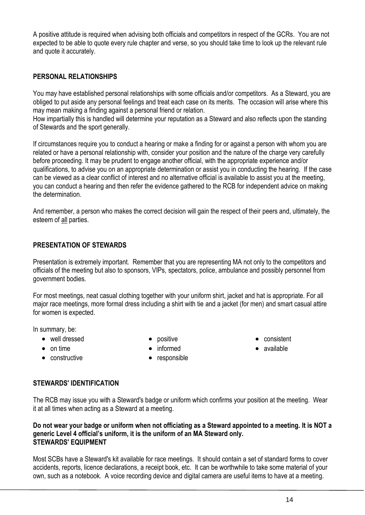A positive attitude is required when advising both officials and competitors in respect of the GCRs. You are not expected to be able to quote every rule chapter and verse, so you should take time to look up the relevant rule and quote it accurately.

# **PERSONAL RELATIONSHIPS**

You may have established personal relationships with some officials and/or competitors. As a Steward, you are obliged to put aside any personal feelings and treat each case on its merits. The occasion will arise where this may mean making a finding against a personal friend or relation.

How impartially this is handled will determine your reputation as a Steward and also reflects upon the standing of Stewards and the sport generally.

If circumstances require you to conduct a hearing or make a finding for or against a person with whom you are related or have a personal relationship with, consider your position and the nature of the charge very carefully before proceeding. It may be prudent to engage another official, with the appropriate experience and/or qualifications, to advise you on an appropriate determination or assist you in conducting the hearing. If the case can be viewed as a clear conflict of interest and no alternative official is available to assist you at the meeting, you can conduct a hearing and then refer the evidence gathered to the RCB for independent advice on making the determination.

And remember, a person who makes the correct decision will gain the respect of their peers and, ultimately, the esteem of all parties.

#### **PRESENTATION OF STEWARDS**

Presentation is extremely important. Remember that you are representing MA not only to the competitors and officials of the meeting but also to sponsors, VIPs, spectators, police, ambulance and possibly personnel from government bodies.

For most meetings, neat casual clothing together with your uniform shirt, jacket and hat is appropriate. For all major race meetings, more formal dress including a shirt with tie and a jacket (for men) and smart casual attire for women is expected.

In summary, be:

- well dressed
- on time
- constructive

• positive • informed

• responsible

- consistent
- available

#### **STEWARDS' IDENTIFICATION**

The RCB may issue you with a Steward's badge or uniform which confirms your position at the meeting. Wear it at all times when acting as a Steward at a meeting.

#### **Do not wear your badge or uniform when not officiating as a Steward appointed to a meeting. It is NOT a generic Level 4 official's uniform, it is the uniform of an MA Steward only. STEWARDS' EQUIPMENT**

Most SCBs have a Steward's kit available for race meetings. It should contain a set of standard forms to cover accidents, reports, licence declarations, a receipt book, etc. It can be worthwhile to take some material of your own, such as a notebook. A voice recording device and digital camera are useful items to have at a meeting.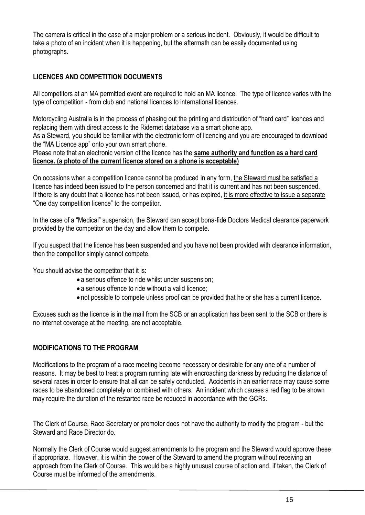The camera is critical in the case of a major problem or a serious incident. Obviously, it would be difficult to take a photo of an incident when it is happening, but the aftermath can be easily documented using photographs.

# **LICENCES AND COMPETITION DOCUMENTS**

All competitors at an MA permitted event are required to hold an MA licence. The type of licence varies with the type of competition - from club and national licences to international licences.

Motorcycling Australia is in the process of phasing out the printing and distribution of "hard card" licences and replacing them with direct access to the Ridernet database via a smart phone app.

As a Steward, you should be familiar with the electronic form of licencing and you are encouraged to download the "MA Licence app" onto your own smart phone.

Please note that an electronic version of the licence has the **same authority and function as a hard card licence. (a photo of the current licence stored on a phone is acceptable)**

On occasions when a competition licence cannot be produced in any form, the Steward must be satisfied a licence has indeed been issued to the person concerned and that it is current and has not been suspended. If there is any doubt that a licence has not been issued, or has expired, it is more effective to issue a separate "One day competition licence" to the competitor.

In the case of a "Medical" suspension, the Steward can accept bona-fide Doctors Medical clearance paperwork provided by the competitor on the day and allow them to compete.

If you suspect that the licence has been suspended and you have not been provided with clearance information, then the competitor simply cannot compete.

You should advise the competitor that it is:

- a serious offence to ride whilst under suspension;
- a serious offence to ride without a valid licence;
- not possible to compete unless proof can be provided that he or she has a current licence.

Excuses such as the licence is in the mail from the SCB or an application has been sent to the SCB or there is no internet coverage at the meeting, are not acceptable.

# **MODIFICATIONS TO THE PROGRAM**

Modifications to the program of a race meeting become necessary or desirable for any one of a number of reasons. It may be best to treat a program running late with encroaching darkness by reducing the distance of several races in order to ensure that all can be safely conducted. Accidents in an earlier race may cause some races to be abandoned completely or combined with others. An incident which causes a red flag to be shown may require the duration of the restarted race be reduced in accordance with the GCRs.

The Clerk of Course, Race Secretary or promoter does not have the authority to modify the program - but the Steward and Race Director do.

Normally the Clerk of Course would suggest amendments to the program and the Steward would approve these if appropriate. However, it is within the power of the Steward to amend the program without receiving an approach from the Clerk of Course. This would be a highly unusual course of action and, if taken, the Clerk of Course must be informed of the amendments.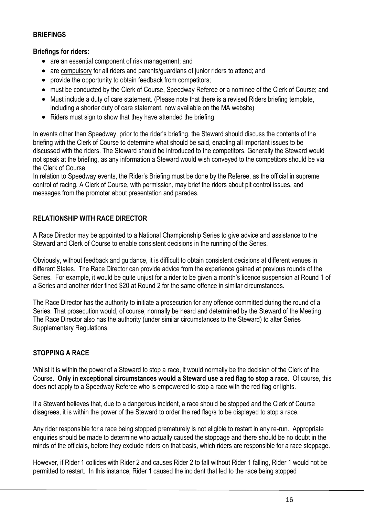#### **BRIEFINGS**

# **Briefings for riders:**

- are an essential component of risk management; and
- are compulsory for all riders and parents/guardians of junior riders to attend; and
- provide the opportunity to obtain feedback from competitors:
- must be conducted by the Clerk of Course, Speedway Referee or a nominee of the Clerk of Course; and
- Must include a duty of care statement. (Please note that there is a revised Riders briefing template, including a shorter duty of care statement, now available on the MA website)
- Riders must sign to show that they have attended the briefing

In events other than Speedway, prior to the rider's briefing, the Steward should discuss the contents of the briefing with the Clerk of Course to determine what should be said, enabling all important issues to be discussed with the riders. The Steward should be introduced to the competitors. Generally the Steward would not speak at the briefing, as any information a Steward would wish conveyed to the competitors should be via the Clerk of Course.

In relation to Speedway events, the Rider's Briefing must be done by the Referee, as the official in supreme control of racing. A Clerk of Course, with permission, may brief the riders about pit control issues, and messages from the promoter about presentation and parades.

# **RELATIONSHIP WITH RACE DIRECTOR**

A Race Director may be appointed to a National Championship Series to give advice and assistance to the Steward and Clerk of Course to enable consistent decisions in the running of the Series.

Obviously, without feedback and guidance, it is difficult to obtain consistent decisions at different venues in different States. The Race Director can provide advice from the experience gained at previous rounds of the Series. For example, it would be quite unjust for a rider to be given a month's licence suspension at Round 1 of a Series and another rider fined \$20 at Round 2 for the same offence in similar circumstances.

The Race Director has the authority to initiate a prosecution for any offence committed during the round of a Series. That prosecution would, of course, normally be heard and determined by the Steward of the Meeting. The Race Director also has the authority (under similar circumstances to the Steward) to alter Series Supplementary Regulations.

# **STOPPING A RACE**

Whilst it is within the power of a Steward to stop a race, it would normally be the decision of the Clerk of the Course. **Only in exceptional circumstances would a Steward use a red flag to stop a race.** Of course, this does not apply to a Speedway Referee who is empowered to stop a race with the red flag or lights.

If a Steward believes that, due to a dangerous incident, a race should be stopped and the Clerk of Course disagrees, it is within the power of the Steward to order the red flag/s to be displayed to stop a race.

Any rider responsible for a race being stopped prematurely is not eligible to restart in any re-run. Appropriate enquiries should be made to determine who actually caused the stoppage and there should be no doubt in the minds of the officials, before they exclude riders on that basis, which riders are responsible for a race stoppage.

However, if Rider 1 collides with Rider 2 and causes Rider 2 to fall without Rider 1 falling, Rider 1 would not be permitted to restart. In this instance, Rider 1 caused the incident that led to the race being stopped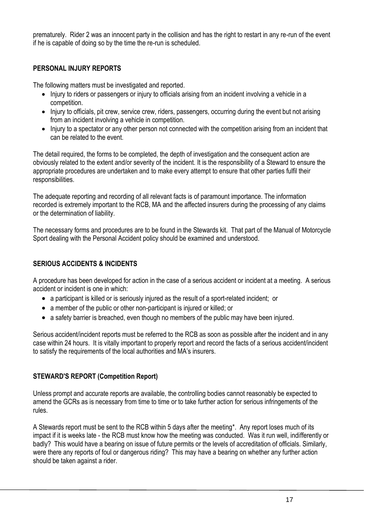prematurely. Rider 2 was an innocent party in the collision and has the right to restart in any re-run of the event if he is capable of doing so by the time the re-run is scheduled.

# **PERSONAL INJURY REPORTS**

The following matters must be investigated and reported.

- Injury to riders or passengers or injury to officials arising from an incident involving a vehicle in a competition.
- Injury to officials, pit crew, service crew, riders, passengers, occurring during the event but not arising from an incident involving a vehicle in competition.
- Injury to a spectator or any other person not connected with the competition arising from an incident that can be related to the event.

The detail required, the forms to be completed, the depth of investigation and the consequent action are obviously related to the extent and/or severity of the incident. It is the responsibility of a Steward to ensure the appropriate procedures are undertaken and to make every attempt to ensure that other parties fulfil their responsibilities.

The adequate reporting and recording of all relevant facts is of paramount importance. The information recorded is extremely important to the RCB, MA and the affected insurers during the processing of any claims or the determination of liability.

The necessary forms and procedures are to be found in the Stewards kit. That part of the Manual of Motorcycle Sport dealing with the Personal Accident policy should be examined and understood.

# **SERIOUS ACCIDENTS & INCIDENTS**

A procedure has been developed for action in the case of a serious accident or incident at a meeting. A serious accident or incident is one in which:

- a participant is killed or is seriously injured as the result of a sport-related incident; or
- a member of the public or other non-participant is injured or killed; or
- a safety barrier is breached, even though no members of the public may have been injured.

Serious accident/incident reports must be referred to the RCB as soon as possible after the incident and in any case within 24 hours. It is vitally important to properly report and record the facts of a serious accident/incident to satisfy the requirements of the local authorities and MA's insurers.

# **STEWARD'S REPORT (Competition Report)**

Unless prompt and accurate reports are available, the controlling bodies cannot reasonably be expected to amend the GCRs as is necessary from time to time or to take further action for serious infringements of the rules.

A Stewards report must be sent to the RCB within 5 days after the meeting\*. Any report loses much of its impact if it is weeks late - the RCB must know how the meeting was conducted. Was it run well, indifferently or badly? This would have a bearing on issue of future permits or the levels of accreditation of officials. Similarly, were there any reports of foul or dangerous riding? This may have a bearing on whether any further action should be taken against a rider.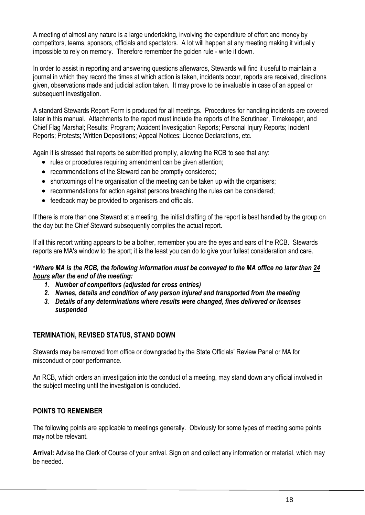A meeting of almost any nature is a large undertaking, involving the expenditure of effort and money by competitors, teams, sponsors, officials and spectators. A lot will happen at any meeting making it virtually impossible to rely on memory. Therefore remember the golden rule - write it down.

In order to assist in reporting and answering questions afterwards, Stewards will find it useful to maintain a journal in which they record the times at which action is taken, incidents occur, reports are received, directions given, observations made and judicial action taken. It may prove to be invaluable in case of an appeal or subsequent investigation.

A standard Stewards Report Form is produced for all meetings. Procedures for handling incidents are covered later in this manual. Attachments to the report must include the reports of the Scrutineer, Timekeeper, and Chief Flag Marshal; Results; Program; Accident Investigation Reports; Personal Injury Reports; Incident Reports; Protests; Written Depositions; Appeal Notices; Licence Declarations, etc.

Again it is stressed that reports be submitted promptly, allowing the RCB to see that any:

- rules or procedures requiring amendment can be given attention;
- recommendations of the Steward can be promptly considered;
- shortcomings of the organisation of the meeting can be taken up with the organisers;
- recommendations for action against persons breaching the rules can be considered;
- feedback may be provided to organisers and officials.

If there is more than one Steward at a meeting, the initial drafting of the report is best handled by the group on the day but the Chief Steward subsequently compiles the actual report.

If all this report writing appears to be a bother, remember you are the eyes and ears of the RCB. Stewards reports are MA's window to the sport; it is the least you can do to give your fullest consideration and care.

# **\****Where MA is the RCB, the following information must be conveyed to the MA office no later than 24 hours after the end of the meeting:*

- *1. Number of competitors (adjusted for cross entries)*
- *2. Names, details and condition of any person injured and transported from the meeting*
- *3. Details of any determinations where results were changed, fines delivered or licenses suspended*

# **TERMINATION, REVISED STATUS, STAND DOWN**

Stewards may be removed from office or downgraded by the State Officials' Review Panel or MA for misconduct or poor performance.

An RCB, which orders an investigation into the conduct of a meeting, may stand down any official involved in the subject meeting until the investigation is concluded.

# **POINTS TO REMEMBER**

The following points are applicable to meetings generally. Obviously for some types of meeting some points may not be relevant.

**Arrival:** Advise the Clerk of Course of your arrival. Sign on and collect any information or material, which may be needed.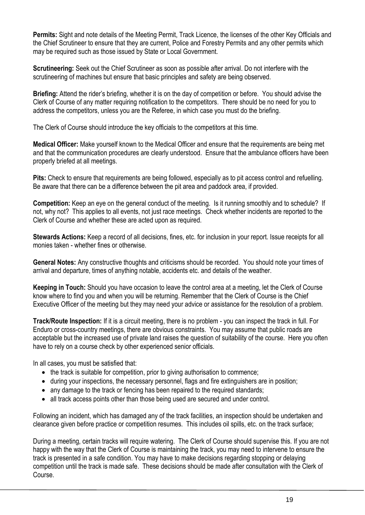**Permits:** Sight and note details of the Meeting Permit, Track Licence, the licenses of the other Key Officials and the Chief Scrutineer to ensure that they are current, Police and Forestry Permits and any other permits which may be required such as those issued by State or Local Government.

**Scrutineering:** Seek out the Chief Scrutineer as soon as possible after arrival. Do not interfere with the scrutineering of machines but ensure that basic principles and safety are being observed.

**Briefing:** Attend the rider's briefing, whether it is on the day of competition or before. You should advise the Clerk of Course of any matter requiring notification to the competitors. There should be no need for you to address the competitors, unless you are the Referee, in which case you must do the briefing.

The Clerk of Course should introduce the key officials to the competitors at this time.

**Medical Officer:** Make yourself known to the Medical Officer and ensure that the requirements are being met and that the communication procedures are clearly understood. Ensure that the ambulance officers have been properly briefed at all meetings.

**Pits:** Check to ensure that requirements are being followed, especially as to pit access control and refuelling. Be aware that there can be a difference between the pit area and paddock area, if provided.

**Competition:** Keep an eye on the general conduct of the meeting. Is it running smoothly and to schedule? If not, why not? This applies to all events, not just race meetings. Check whether incidents are reported to the Clerk of Course and whether these are acted upon as required.

**Stewards Actions:** Keep a record of all decisions, fines, etc. for inclusion in your report. Issue receipts for all monies taken - whether fines or otherwise.

**General Notes:** Any constructive thoughts and criticisms should be recorded. You should note your times of arrival and departure, times of anything notable, accidents etc. and details of the weather.

**Keeping in Touch:** Should you have occasion to leave the control area at a meeting, let the Clerk of Course know where to find you and when you will be returning. Remember that the Clerk of Course is the Chief Executive Officer of the meeting but they may need your advice or assistance for the resolution of a problem.

**Track/Route Inspection:** If it is a circuit meeting, there is no problem - you can inspect the track in full. For Enduro or cross-country meetings, there are obvious constraints. You may assume that public roads are acceptable but the increased use of private land raises the question of suitability of the course. Here you often have to rely on a course check by other experienced senior officials.

In all cases, you must be satisfied that:

- the track is suitable for competition, prior to giving authorisation to commence;
- during your inspections, the necessary personnel, flags and fire extinguishers are in position;
- any damage to the track or fencing has been repaired to the required standards;
- all track access points other than those being used are secured and under control.

Following an incident, which has damaged any of the track facilities, an inspection should be undertaken and clearance given before practice or competition resumes. This includes oil spills, etc. on the track surface;

During a meeting, certain tracks will require watering. The Clerk of Course should supervise this. If you are not happy with the way that the Clerk of Course is maintaining the track, you may need to intervene to ensure the track is presented in a safe condition. You may have to make decisions regarding stopping or delaying competition until the track is made safe. These decisions should be made after consultation with the Clerk of Course.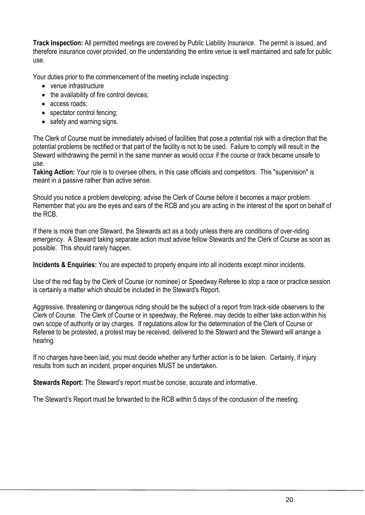**Track Inspection:** All permitted meetings are covered by Public Liability Insurance. The permit is issued, and therefore insurance cover provided, on the understanding the entire venue is well maintained and safe for public use.

Your duties prior to the commencement of the meeting include inspecting:

- venue infrastructure
- the availability of fire control devices;
- access roads;
- spectator control fencing;
- safety and warning signs.

The Clerk of Course must be immediately advised of facilities that pose a potential risk with a direction that the potential problems be rectified or that part of the facility is not to be used. Failure to comply will result in the Steward withdrawing the permit in the same manner as would occur if the course or track became unsafe to use.

**Taking Action:** Your role is to oversee others, in this case officials and competitors. This "supervision" is meant in a passive rather than active sense.

Should you notice a problem developing, advise the Clerk of Course before it becomes a major problem. Remember that you are the eyes and ears of the RCB and you are acting in the interest of the sport on behalf of the RCB.

If there is more than one Steward, the Stewards act as a body unless there are conditions of over-riding emergency. A Steward taking separate action must advise fellow Stewards and the Clerk of Course as soon as possible. This should rarely happen.

**Incidents & Enquiries:** You are expected to properly enquire into all incidents except minor incidents.

Use of the red flag by the Clerk of Course (or nominee) or Speedway Referee to stop a race or practice session is certainly a matter which should be included in the Steward's Report.

Aggressive, threatening or dangerous riding should be the subject of a report from track-side observers to the Clerk of Course. The Clerk of Course or in speedway, the Referee, may decide to either take action within his own scope of authority or lay charges. If regulations allow for the determination of the Clerk of Course or Referee to be protested, a protest may be received, delivered to the Steward and the Steward will arrange a hearing.

If no charges have been laid, you must decide whether any further action is to be taken. Certainly, if injury results from such an incident, proper enquiries MUST be undertaken.

**Stewards Report:** The Steward's report must be concise, accurate and informative.

The Steward's Report must be forwarded to the RCB within 5 days of the conclusion of the meeting.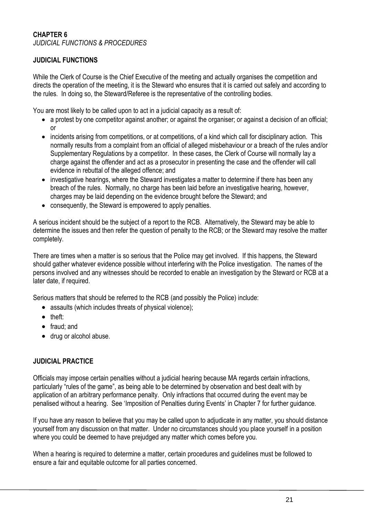#### **CHAPTER 6** *JUDICIAL FUNCTIONS & PROCEDURES*

# **JUDICIAL FUNCTIONS**

While the Clerk of Course is the Chief Executive of the meeting and actually organises the competition and directs the operation of the meeting, it is the Steward who ensures that it is carried out safely and according to the rules. In doing so, the Steward/Referee is the representative of the controlling bodies.

You are most likely to be called upon to act in a judicial capacity as a result of:

- a protest by one competitor against another; or against the organiser; or against a decision of an official; or
- incidents arising from competitions, or at competitions, of a kind which call for disciplinary action. This normally results from a complaint from an official of alleged misbehaviour or a breach of the rules and/or Supplementary Regulations by a competitor. In these cases, the Clerk of Course will normally lay a charge against the offender and act as a prosecutor in presenting the case and the offender will call evidence in rebuttal of the alleged offence; and
- investigative hearings, where the Steward investigates a matter to determine if there has been any breach of the rules. Normally, no charge has been laid before an investigative hearing, however, charges may be laid depending on the evidence brought before the Steward; and
- consequently, the Steward is empowered to apply penalties.

A serious incident should be the subject of a report to the RCB. Alternatively, the Steward may be able to determine the issues and then refer the question of penalty to the RCB; or the Steward may resolve the matter completely.

There are times when a matter is so serious that the Police may get involved. If this happens, the Steward should gather whatever evidence possible without interfering with the Police investigation. The names of the persons involved and any witnesses should be recorded to enable an investigation by the Steward or RCB at a later date, if required.

Serious matters that should be referred to the RCB (and possibly the Police) include:

- assaults (which includes threats of physical violence);
- theft:
- fraud: and
- drug or alcohol abuse.

#### **JUDICIAL PRACTICE**

Officials may impose certain penalties without a judicial hearing because MA regards certain infractions, particularly "rules of the game", as being able to be determined by observation and best dealt with by application of an arbitrary performance penalty. Only infractions that occurred during the event may be penalised without a hearing. See 'Imposition of Penalties during Events' in Chapter 7 for further guidance.

If you have any reason to believe that you may be called upon to adjudicate in any matter, you should distance yourself from any discussion on that matter. Under no circumstances should you place yourself in a position where you could be deemed to have prejudged any matter which comes before you.

When a hearing is required to determine a matter, certain procedures and guidelines must be followed to ensure a fair and equitable outcome for all parties concerned.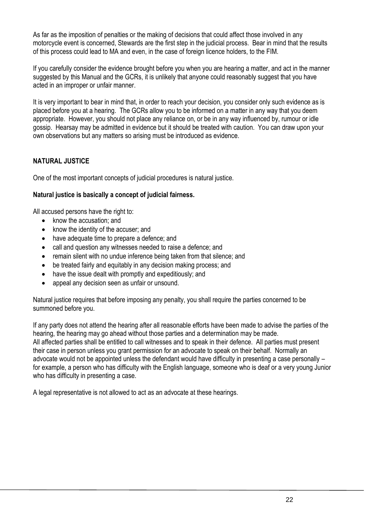As far as the imposition of penalties or the making of decisions that could affect those involved in any motorcycle event is concerned, Stewards are the first step in the judicial process. Bear in mind that the results of this process could lead to MA and even, in the case of foreign licence holders, to the FIM.

If you carefully consider the evidence brought before you when you are hearing a matter, and act in the manner suggested by this Manual and the GCRs, it is unlikely that anyone could reasonably suggest that you have acted in an improper or unfair manner.

It is very important to bear in mind that, in order to reach your decision, you consider only such evidence as is placed before you at a hearing. The GCRs allow you to be informed on a matter in any way that you deem appropriate. However, you should not place any reliance on, or be in any way influenced by, rumour or idle gossip. Hearsay may be admitted in evidence but it should be treated with caution. You can draw upon your own observations but any matters so arising must be introduced as evidence.

# **NATURAL JUSTICE**

One of the most important concepts of judicial procedures is natural justice.

#### **Natural justice is basically a concept of judicial fairness.**

All accused persons have the right to:

- know the accusation: and
- know the identity of the accuser; and
- have adequate time to prepare a defence; and
- call and question any witnesses needed to raise a defence; and
- remain silent with no undue inference being taken from that silence; and
- be treated fairly and equitably in any decision making process; and
- have the issue dealt with promptly and expeditiously; and
- appeal any decision seen as unfair or unsound.

Natural justice requires that before imposing any penalty, you shall require the parties concerned to be summoned before you.

If any party does not attend the hearing after all reasonable efforts have been made to advise the parties of the hearing, the hearing may go ahead without those parties and a determination may be made. All affected parties shall be entitled to call witnesses and to speak in their defence. All parties must present their case in person unless you grant permission for an advocate to speak on their behalf. Normally an advocate would not be appointed unless the defendant would have difficulty in presenting a case personally – for example, a person who has difficulty with the English language, someone who is deaf or a very young Junior who has difficulty in presenting a case.

A legal representative is not allowed to act as an advocate at these hearings.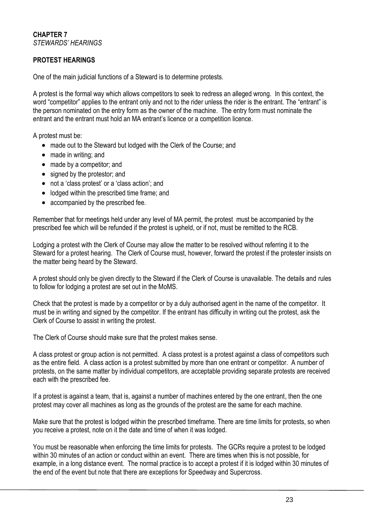# **PROTEST HEARINGS**

One of the main judicial functions of a Steward is to determine protests.

A protest is the formal way which allows competitors to seek to redress an alleged wrong. In this context, the word "competitor" applies to the entrant only and not to the rider unless the rider is the entrant. The "entrant" is the person nominated on the entry form as the owner of the machine. The entry form must nominate the entrant and the entrant must hold an MA entrant's licence or a competition licence.

A protest must be:

- made out to the Steward but lodged with the Clerk of the Course; and
- made in writing; and
- made by a competitor; and
- signed by the protestor; and
- not a 'class protest' or a 'class action'; and
- lodged within the prescribed time frame; and
- accompanied by the prescribed fee.

Remember that for meetings held under any level of MA permit, the protest must be accompanied by the prescribed fee which will be refunded if the protest is upheld, or if not, must be remitted to the RCB.

Lodging a protest with the Clerk of Course may allow the matter to be resolved without referring it to the Steward for a protest hearing. The Clerk of Course must, however, forward the protest if the protester insists on the matter being heard by the Steward.

A protest should only be given directly to the Steward if the Clerk of Course is unavailable. The details and rules to follow for lodging a protest are set out in the MoMS.

Check that the protest is made by a competitor or by a duly authorised agent in the name of the competitor. It must be in writing and signed by the competitor. If the entrant has difficulty in writing out the protest, ask the Clerk of Course to assist in writing the protest.

The Clerk of Course should make sure that the protest makes sense.

A class protest or group action is not permitted. A class protest is a protest against a class of competitors such as the entire field. A class action is a protest submitted by more than one entrant or competitor. A number of protests, on the same matter by individual competitors, are acceptable providing separate protests are received each with the prescribed fee.

If a protest is against a team, that is, against a number of machines entered by the one entrant, then the one protest may cover all machines as long as the grounds of the protest are the same for each machine.

Make sure that the protest is lodged within the prescribed timeframe. There are time limits for protests, so when you receive a protest, note on it the date and time of when it was lodged.

You must be reasonable when enforcing the time limits for protests. The GCRs require a protest to be lodged within 30 minutes of an action or conduct within an event. There are times when this is not possible, for example, in a long distance event. The normal practice is to accept a protest if it is lodged within 30 minutes of the end of the event but note that there are exceptions for Speedway and Supercross.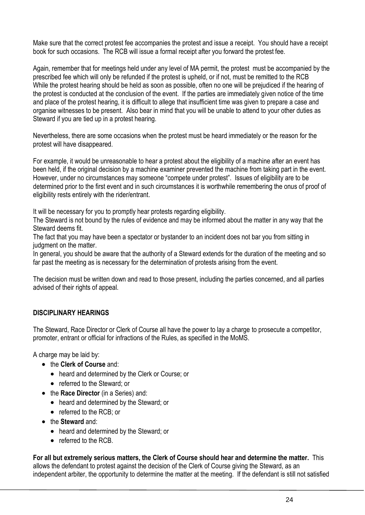Make sure that the correct protest fee accompanies the protest and issue a receipt. You should have a receipt book for such occasions. The RCB will issue a formal receipt after you forward the protest fee.

Again, remember that for meetings held under any level of MA permit, the protest must be accompanied by the prescribed fee which will only be refunded if the protest is upheld, or if not, must be remitted to the RCB While the protest hearing should be held as soon as possible, often no one will be prejudiced if the hearing of the protest is conducted at the conclusion of the event. If the parties are immediately given notice of the time and place of the protest hearing, it is difficult to allege that insufficient time was given to prepare a case and organise witnesses to be present. Also bear in mind that you will be unable to attend to your other duties as Steward if you are tied up in a protest hearing.

Nevertheless, there are some occasions when the protest must be heard immediately or the reason for the protest will have disappeared.

For example, it would be unreasonable to hear a protest about the eligibility of a machine after an event has been held, if the original decision by a machine examiner prevented the machine from taking part in the event. However, under no circumstances may someone "compete under protest". Issues of eligibility are to be determined prior to the first event and in such circumstances it is worthwhile remembering the onus of proof of eligibility rests entirely with the rider/entrant.

It will be necessary for you to promptly hear protests regarding eligibility.

The Steward is not bound by the rules of evidence and may be informed about the matter in any way that the Steward deems fit.

The fact that you may have been a spectator or bystander to an incident does not bar you from sitting in judgment on the matter.

In general, you should be aware that the authority of a Steward extends for the duration of the meeting and so far past the meeting as is necessary for the determination of protests arising from the event.

The decision must be written down and read to those present, including the parties concerned, and all parties advised of their rights of appeal.

# **DISCIPLINARY HEARINGS**

The Steward, Race Director or Clerk of Course all have the power to lay a charge to prosecute a competitor, promoter, entrant or official for infractions of the Rules, as specified in the MoMS.

A charge may be laid by:

- the **Clerk of Course** and:
	- heard and determined by the Clerk or Course; or
	- referred to the Steward; or
- the **Race Director** (in a Series) and:
	- heard and determined by the Steward; or
	- referred to the RCB; or
- the **Steward** and:
	- heard and determined by the Steward; or
	- referred to the RCB.

**For all but extremely serious matters, the Clerk of Course should hear and determine the matter.** This allows the defendant to protest against the decision of the Clerk of Course giving the Steward, as an independent arbiter, the opportunity to determine the matter at the meeting. If the defendant is still not satisfied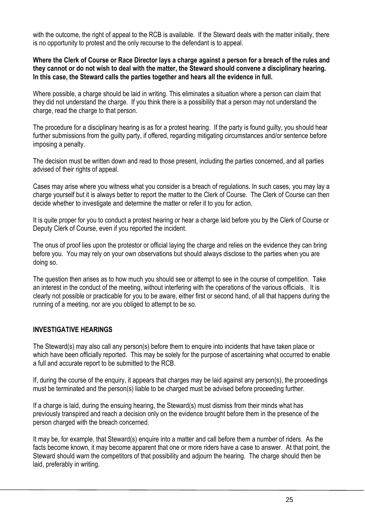with the outcome, the right of appeal to the RCB is available. If the Steward deals with the matter initially, there is no opportunity to protest and the only recourse to the defendant is to appeal.

**Where the Clerk of Course or Race Director lays a charge against a person for a breach of the rules and they cannot or do not wish to deal with the matter, the Steward should convene a disciplinary hearing. In this case, the Steward calls the parties together and hears all the evidence in full.**

Where possible, a charge should be laid in writing. This eliminates a situation where a person can claim that they did not understand the charge. If you think there is a possibility that a person may not understand the charge, read the charge to that person.

The procedure for a disciplinary hearing is as for a protest hearing. If the party is found guilty, you should hear further submissions from the guilty party, if offered, regarding mitigating circumstances and/or sentence before imposing a penalty.

The decision must be written down and read to those present, including the parties concerned, and all parties advised of their rights of appeal.

Cases may arise where you witness what you consider is a breach of regulations. In such cases, you may lay a charge yourself but it is always better to report the matter to the Clerk of Course. The Clerk of Course can then decide whether to investigate and determine the matter or refer it to you for action.

It is quite proper for you to conduct a protest hearing or hear a charge laid before you by the Clerk of Course or Deputy Clerk of Course, even if you reported the incident.

The onus of proof lies upon the protestor or official laying the charge and relies on the evidence they can bring before you. You may rely on your own observations but should always disclose to the parties when you are doing so.

The question then arises as to how much you should see or attempt to see in the course of competition. Take an interest in the conduct of the meeting, without interfering with the operations of the various officials. It is clearly not possible or practicable for you to be aware, either first or second hand, of all that happens during the running of a meeting, nor are you obliged to attempt to be so.

#### **INVESTIGATIVE HEARINGS**

The Steward(s) may also call any person(s) before them to enquire into incidents that have taken place or which have been officially reported. This may be solely for the purpose of ascertaining what occurred to enable a full and accurate report to be submitted to the RCB.

If, during the course of the enquiry, it appears that charges may be laid against any person(s), the proceedings must be terminated and the person(s) liable to be charged must be advised before proceeding further.

If a charge is laid, during the ensuing hearing, the Steward(s) must dismiss from their minds what has previously transpired and reach a decision only on the evidence brought before them in the presence of the person charged with the breach concerned.

It may be, for example, that Steward(s) enquire into a matter and call before them a number of riders. As the facts become known, it may become apparent that one or more riders have a case to answer. At that point, the Steward should warn the competitors of that possibility and adjourn the hearing. The charge should then be laid, preferably in writing.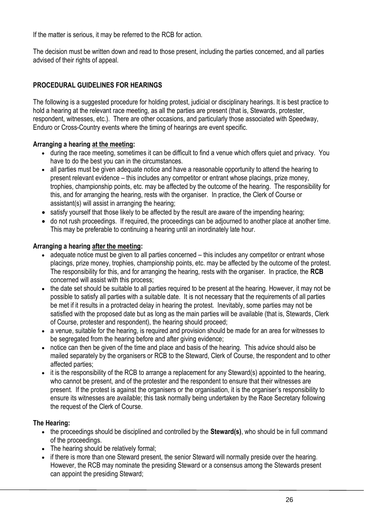If the matter is serious, it may be referred to the RCB for action.

The decision must be written down and read to those present, including the parties concerned, and all parties advised of their rights of appeal.

# **PROCEDURAL GUIDELINES FOR HEARINGS**

The following is a suggested procedure for holding protest, judicial or disciplinary hearings. It is best practice to hold a hearing at the relevant race meeting, as all the parties are present (that is, Stewards, protester, respondent, witnesses, etc.). There are other occasions, and particularly those associated with Speedway, Enduro or Cross-Country events where the timing of hearings are event specific.

# **Arranging a hearing at the meeting:**

- during the race meeting, sometimes it can be difficult to find a venue which offers quiet and privacy. You have to do the best you can in the circumstances.
- all parties must be given adequate notice and have a reasonable opportunity to attend the hearing to present relevant evidence – this includes any competitor or entrant whose placings, prize money, trophies, championship points, etc. may be affected by the outcome of the hearing. The responsibility for this, and for arranging the hearing, rests with the organiser. In practice, the Clerk of Course or assistant(s) will assist in arranging the hearing;
- satisfy yourself that those likely to be affected by the result are aware of the impending hearing;
- do not rush proceedings. If required, the proceedings can be adjourned to another place at another time. This may be preferable to continuing a hearing until an inordinately late hour.

# **Arranging a hearing after the meeting:**

- adequate notice must be given to all parties concerned this includes any competitor or entrant whose placings, prize money, trophies, championship points, etc. may be affected by the outcome of the protest. The responsibility for this, and for arranging the hearing, rests with the organiser. In practice, the **RCB** concerned will assist with this process;
- the date set should be suitable to all parties required to be present at the hearing. However, it may not be possible to satisfy all parties with a suitable date. It is not necessary that the requirements of all parties be met if it results in a protracted delay in hearing the protest. Inevitably, some parties may not be satisfied with the proposed date but as long as the main parties will be available (that is, Stewards, Clerk of Course, protester and respondent), the hearing should proceed;
- a venue, suitable for the hearing, is required and provision should be made for an area for witnesses to be segregated from the hearing before and after giving evidence;
- notice can then be given of the time and place and basis of the hearing. This advice should also be mailed separately by the organisers or RCB to the Steward, Clerk of Course, the respondent and to other affected parties;
- it is the responsibility of the RCB to arrange a replacement for any Steward(s) appointed to the hearing, who cannot be present, and of the protester and the respondent to ensure that their witnesses are present. If the protest is against the organisers or the organisation, it is the organiser's responsibility to ensure its witnesses are available; this task normally being undertaken by the Race Secretary following the request of the Clerk of Course.

# **The Hearing:**

- the proceedings should be disciplined and controlled by the **Steward(s)**, who should be in full command of the proceedings.
- The hearing should be relatively formal;
- if there is more than one Steward present, the senior Steward will normally preside over the hearing. However, the RCB may nominate the presiding Steward or a consensus among the Stewards present can appoint the presiding Steward;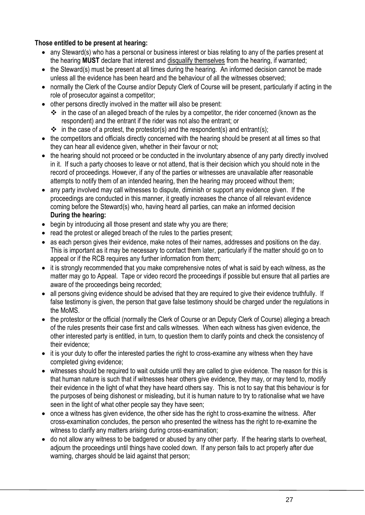# **Those entitled to be present at hearing:**

- any Steward(s) who has a personal or business interest or bias relating to any of the parties present at the hearing **MUST** declare that interest and disqualify themselves from the hearing, if warranted;
- the Steward(s) must be present at all times during the hearing. An informed decision cannot be made unless all the evidence has been heard and the behaviour of all the witnesses observed;
- normally the Clerk of the Course and/or Deputy Clerk of Course will be present, particularly if acting in the role of prosecutor against a competitor;
- other persons directly involved in the matter will also be present:
	- ❖ in the case of an alleged breach of the rules by a competitor, the rider concerned (known as the respondent) and the entrant if the rider was not also the entrant; or
	- $\cdot \cdot$  in the case of a protest, the protestor(s) and the respondent(s) and entrant(s);
- the competitors and officials directly concerned with the hearing should be present at all times so that they can hear all evidence given, whether in their favour or not;
- the hearing should not proceed or be conducted in the involuntary absence of any party directly involved in it. If such a party chooses to leave or not attend, that is their decision which you should note in the record of proceedings. However, if any of the parties or witnesses are unavailable after reasonable attempts to notify them of an intended hearing, then the hearing may proceed without them;
- any party involved may call witnesses to dispute, diminish or support any evidence given. If the proceedings are conducted in this manner, it greatly increases the chance of all relevant evidence coming before the Steward(s) who, having heard all parties, can make an informed decision **During the hearing:**
- begin by introducing all those present and state why you are there;
- read the protest or alleged breach of the rules to the parties present:
- as each person gives their evidence, make notes of their names, addresses and positions on the day. This is important as it may be necessary to contact them later, particularly if the matter should go on to appeal or if the RCB requires any further information from them;
- it is strongly recommended that you make comprehensive notes of what is said by each witness, as the matter may go to Appeal. Tape or video record the proceedings if possible but ensure that all parties are aware of the proceedings being recorded;
- all persons giving evidence should be advised that they are required to give their evidence truthfully. If false testimony is given, the person that gave false testimony should be charged under the regulations in the MoMS.
- the protestor or the official (normally the Clerk of Course or an Deputy Clerk of Course) alleging a breach of the rules presents their case first and calls witnesses. When each witness has given evidence, the other interested party is entitled, in turn, to question them to clarify points and check the consistency of their evidence;
- it is your duty to offer the interested parties the right to cross-examine any witness when they have completed giving evidence;
- witnesses should be required to wait outside until they are called to give evidence. The reason for this is that human nature is such that if witnesses hear others give evidence, they may, or may tend to, modify their evidence in the light of what they have heard others say. This is not to say that this behaviour is for the purposes of being dishonest or misleading, but it is human nature to try to rationalise what we have seen in the light of what other people say they have seen;
- once a witness has given evidence, the other side has the right to cross-examine the witness. After cross-examination concludes, the person who presented the witness has the right to re-examine the witness to clarify any matters arising during cross-examination;
- do not allow any witness to be badgered or abused by any other party. If the hearing starts to overheat, adjourn the proceedings until things have cooled down. If any person fails to act properly after due warning, charges should be laid against that person;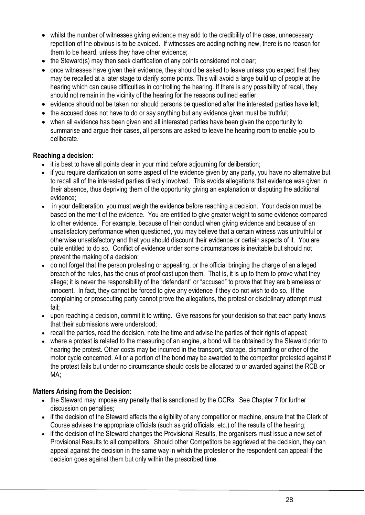- whilst the number of witnesses giving evidence may add to the credibility of the case, unnecessary repetition of the obvious is to be avoided. If witnesses are adding nothing new, there is no reason for them to be heard, unless they have other evidence;
- the Steward(s) may then seek clarification of any points considered not clear;
- once witnesses have given their evidence, they should be asked to leave unless you expect that they may be recalled at a later stage to clarify some points. This will avoid a large build up of people at the hearing which can cause difficulties in controlling the hearing. If there is any possibility of recall, they should not remain in the vicinity of the hearing for the reasons outlined earlier;
- evidence should not be taken nor should persons be questioned after the interested parties have left;
- the accused does not have to do or say anything but any evidence given must be truthful;
- when all evidence has been given and all interested parties have been given the opportunity to summarise and argue their cases, all persons are asked to leave the hearing room to enable you to deliberate.

#### **Reaching a decision:**

- it is best to have all points clear in your mind before adiourning for deliberation:
- if you require clarification on some aspect of the evidence given by any party, you have no alternative but to recall all of the interested parties directly involved. This avoids allegations that evidence was given in their absence, thus depriving them of the opportunity giving an explanation or disputing the additional evidence;
- in your deliberation, you must weigh the evidence before reaching a decision. Your decision must be based on the merit of the evidence. You are entitled to give greater weight to some evidence compared to other evidence. For example, because of their conduct when giving evidence and because of an unsatisfactory performance when questioned, you may believe that a certain witness was untruthful or otherwise unsatisfactory and that you should discount their evidence or certain aspects of it. You are quite entitled to do so. Conflict of evidence under some circumstances is inevitable but should not prevent the making of a decision;
- do not forget that the person protesting or appealing, or the official bringing the charge of an alleged breach of the rules, has the onus of proof cast upon them. That is, it is up to them to prove what they allege; it is never the responsibility of the "defendant" or "accused" to prove that they are blameless or innocent. In fact, they cannot be forced to give any evidence if they do not wish to do so. If the complaining or prosecuting party cannot prove the allegations, the protest or disciplinary attempt must fail;
- upon reaching a decision, commit it to writing. Give reasons for your decision so that each party knows that their submissions were understood;
- recall the parties, read the decision, note the time and advise the parties of their rights of appeal;
- where a protest is related to the measuring of an engine, a bond will be obtained by the Steward prior to hearing the protest. Other costs may be incurred in the transport, storage, dismantling or other of the motor cycle concerned. All or a portion of the bond may be awarded to the competitor protested against if the protest fails but under no circumstance should costs be allocated to or awarded against the RCB or MA;

#### **Matters Arising from the Decision:**

- the Steward may impose any penalty that is sanctioned by the GCRs. See Chapter 7 for further discussion on penalties;
- if the decision of the Steward affects the eligibility of any competitor or machine, ensure that the Clerk of Course advises the appropriate officials (such as grid officials, etc.) of the results of the hearing;
- if the decision of the Steward changes the Provisional Results, the organisers must issue a new set of Provisional Results to all competitors. Should other Competitors be aggrieved at the decision, they can appeal against the decision in the same way in which the protester or the respondent can appeal if the decision goes against them but only within the prescribed time.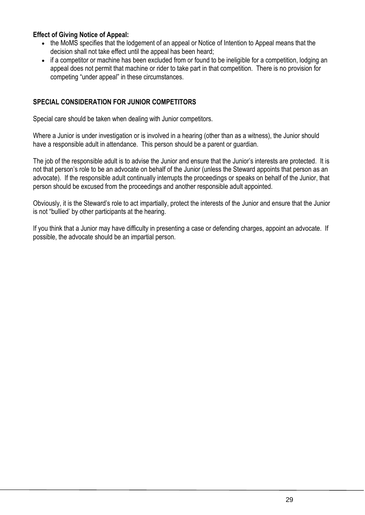# **Effect of Giving Notice of Appeal:**

- the MoMS specifies that the lodgement of an appeal or Notice of Intention to Appeal means that the decision shall not take effect until the appeal has been heard;
- if a competitor or machine has been excluded from or found to be ineligible for a competition, lodging an appeal does not permit that machine or rider to take part in that competition. There is no provision for competing "under appeal" in these circumstances.

# **SPECIAL CONSIDERATION FOR JUNIOR COMPETITORS**

Special care should be taken when dealing with Junior competitors.

Where a Junior is under investigation or is involved in a hearing (other than as a witness), the Junior should have a responsible adult in attendance. This person should be a parent or guardian.

The job of the responsible adult is to advise the Junior and ensure that the Junior's interests are protected. It is not that person's role to be an advocate on behalf of the Junior (unless the Steward appoints that person as an advocate). If the responsible adult continually interrupts the proceedings or speaks on behalf of the Junior, that person should be excused from the proceedings and another responsible adult appointed.

Obviously, it is the Steward's role to act impartially, protect the interests of the Junior and ensure that the Junior is not "bullied' by other participants at the hearing.

If you think that a Junior may have difficulty in presenting a case or defending charges, appoint an advocate. If possible, the advocate should be an impartial person.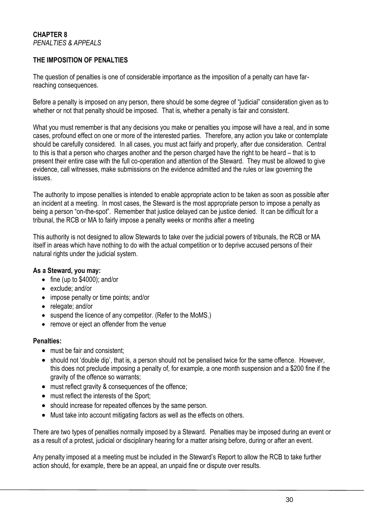#### **THE IMPOSITION OF PENALTIES**

The question of penalties is one of considerable importance as the imposition of a penalty can have farreaching consequences.

Before a penalty is imposed on any person, there should be some degree of "judicial" consideration given as to whether or not that penalty should be imposed. That is, whether a penalty is fair and consistent.

What you must remember is that any decisions you make or penalties you impose will have a real, and in some cases, profound effect on one or more of the interested parties. Therefore, any action you take or contemplate should be carefully considered. In all cases, you must act fairly and properly, after due consideration. Central to this is that a person who charges another and the person charged have the right to be heard – that is to present their entire case with the full co-operation and attention of the Steward. They must be allowed to give evidence, call witnesses, make submissions on the evidence admitted and the rules or law governing the issues.

The authority to impose penalties is intended to enable appropriate action to be taken as soon as possible after an incident at a meeting. In most cases, the Steward is the most appropriate person to impose a penalty as being a person "on-the-spot". Remember that justice delayed can be justice denied. It can be difficult for a tribunal, the RCB or MA to fairly impose a penalty weeks or months after a meeting

This authority is not designed to allow Stewards to take over the judicial powers of tribunals, the RCB or MA itself in areas which have nothing to do with the actual competition or to deprive accused persons of their natural rights under the judicial system.

#### **As a Steward, you may:**

- fine (up to \$4000); and/or
- exclude: and/or
- impose penalty or time points; and/or
- relegate; and/or
- suspend the licence of any competitor. (Refer to the MoMS.)
- remove or eject an offender from the venue

#### **Penalties:**

- must be fair and consistent;
- should not 'double dip', that is, a person should not be penalised twice for the same offence. However, this does not preclude imposing a penalty of, for example, a one month suspension and a \$200 fine if the gravity of the offence so warrants;
- must reflect gravity & consequences of the offence:
- must reflect the interests of the Sport;
- should increase for repeated offences by the same person.
- Must take into account mitigating factors as well as the effects on others.

There are two types of penalties normally imposed by a Steward. Penalties may be imposed during an event or as a result of a protest, judicial or disciplinary hearing for a matter arising before, during or after an event.

Any penalty imposed at a meeting must be included in the Steward's Report to allow the RCB to take further action should, for example, there be an appeal, an unpaid fine or dispute over results.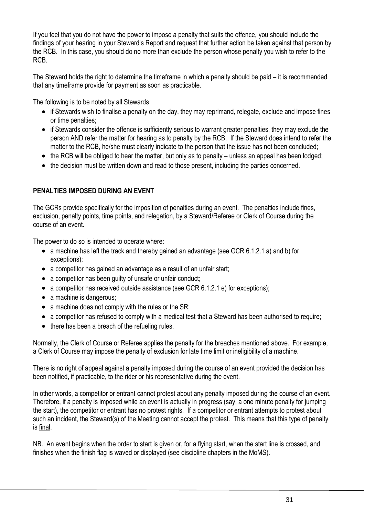If you feel that you do not have the power to impose a penalty that suits the offence, you should include the findings of your hearing in your Steward's Report and request that further action be taken against that person by the RCB. In this case, you should do no more than exclude the person whose penalty you wish to refer to the RCB.

The Steward holds the right to determine the timeframe in which a penalty should be paid – it is recommended that any timeframe provide for payment as soon as practicable.

The following is to be noted by all Stewards:

- if Stewards wish to finalise a penalty on the day, they may reprimand, relegate, exclude and impose fines or time penalties;
- if Stewards consider the offence is sufficiently serious to warrant greater penalties, they may exclude the person AND refer the matter for hearing as to penalty by the RCB. If the Steward does intend to refer the matter to the RCB, he/she must clearly indicate to the person that the issue has not been concluded;
- the RCB will be obliged to hear the matter, but only as to penalty unless an appeal has been lodged;
- the decision must be written down and read to those present, including the parties concerned.

# **PENALTIES IMPOSED DURING AN EVENT**

The GCRs provide specifically for the imposition of penalties during an event. The penalties include fines, exclusion, penalty points, time points, and relegation, by a Steward/Referee or Clerk of Course during the course of an event.

The power to do so is intended to operate where:

- a machine has left the track and thereby gained an advantage (see GCR 6.1.2.1 a) and b) for exceptions);
- a competitor has gained an advantage as a result of an unfair start;
- a competitor has been quilty of unsafe or unfair conduct;
- a competitor has received outside assistance (see GCR 6.1.2.1 e) for exceptions):
- a machine is dangerous;
- a machine does not comply with the rules or the SR;
- a competitor has refused to comply with a medical test that a Steward has been authorised to require;
- there has been a breach of the refueling rules.

Normally, the Clerk of Course or Referee applies the penalty for the breaches mentioned above. For example, a Clerk of Course may impose the penalty of exclusion for late time limit or ineligibility of a machine.

There is no right of appeal against a penalty imposed during the course of an event provided the decision has been notified, if practicable, to the rider or his representative during the event.

In other words, a competitor or entrant cannot protest about any penalty imposed during the course of an event. Therefore, if a penalty is imposed while an event is actually in progress (say, a one minute penalty for jumping the start), the competitor or entrant has no protest rights. If a competitor or entrant attempts to protest about such an incident, the Steward(s) of the Meeting cannot accept the protest. This means that this type of penalty is final.

NB. An event begins when the order to start is given or, for a flying start, when the start line is crossed, and finishes when the finish flag is waved or displayed (see discipline chapters in the MoMS).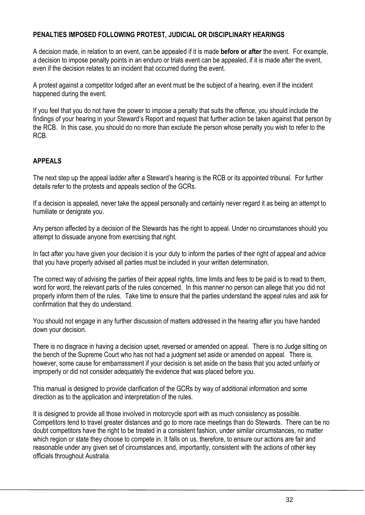# **PENALTIES IMPOSED FOLLOWING PROTEST, JUDICIAL OR DISCIPLINARY HEARINGS**

A decision made, in relation to an event, can be appealed if it is made **before or after** the event. For example, a decision to impose penalty points in an enduro or trials event can be appealed, if it is made after the event, even if the decision relates to an incident that occurred during the event.

A protest against a competitor lodged after an event must be the subject of a hearing, even if the incident happened during the event.

If you feel that you do not have the power to impose a penalty that suits the offence, you should include the findings of your hearing in your Steward's Report and request that further action be taken against that person by the RCB. In this case, you should do no more than exclude the person whose penalty you wish to refer to the RCB.

# **APPEALS**

The next step up the appeal ladder after a Steward's hearing is the RCB or its appointed tribunal. For further details refer to the protests and appeals section of the GCRs.

If a decision is appealed, never take the appeal personally and certainly never regard it as being an attempt to humiliate or denigrate you.

Any person affected by a decision of the Stewards has the right to appeal. Under no circumstances should you attempt to dissuade anyone from exercising that right.

In fact after you have given your decision it is your duty to inform the parties of their right of appeal and advice that you have properly advised all parties must be included in your written determination.

The correct way of advising the parties of their appeal rights, time limits and fees to be paid is to read to them, word for word, the relevant parts of the rules concerned. In this manner no person can allege that you did not properly inform them of the rules. Take time to ensure that the parties understand the appeal rules and ask for confirmation that they do understand.

You should not engage in any further discussion of matters addressed in the hearing after you have handed down your decision.

There is no disgrace in having a decision upset, reversed or amended on appeal. There is no Judge sitting on the bench of the Supreme Court who has not had a judgment set aside or amended on appeal. There is, however, some cause for embarrassment if your decision is set aside on the basis that you acted unfairly or improperly or did not consider adequately the evidence that was placed before you.

This manual is designed to provide clarification of the GCRs by way of additional information and some direction as to the application and interpretation of the rules.

It is designed to provide all those involved in motorcycle sport with as much consistency as possible. Competitors tend to travel greater distances and go to more race meetings than do Stewards. There can be no doubt competitors have the right to be treated in a consistent fashion, under similar circumstances, no matter which region or state they choose to compete in. It falls on us, therefore, to ensure our actions are fair and reasonable under any given set of circumstances and, importantly, consistent with the actions of other key officials throughout Australia.